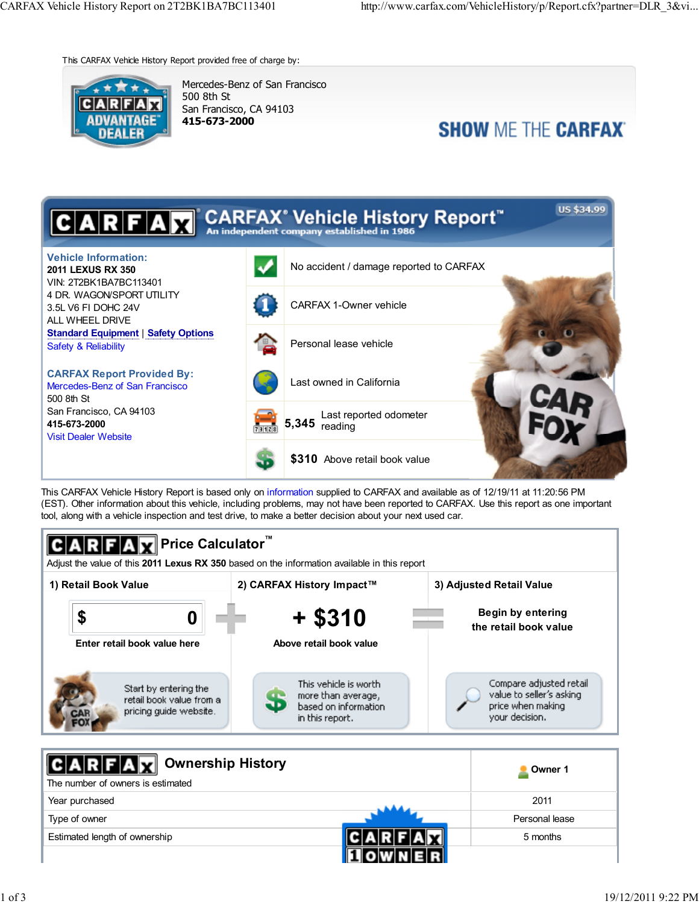This CARFAX Vehicle History Report provided free of charge by:



Mercedes-Benz of San Francisco 500 8th St San Francisco, CA 94103 415-673-2000

# **SHOW ME THE CARFAX**



This CARFAX Vehicle History Report is based only on information supplied to CARFAX and available as of 12/19/11 at 11:20:56 PM (EST). Other information about this vehicle, including problems, may not have been reported to CARFAX. Use this report as one important tool, along with a vehicle inspection and test drive, to make a better decision about your next used car.



Estimated length of ownership **Fig. 1 CLARFIAV** 5 months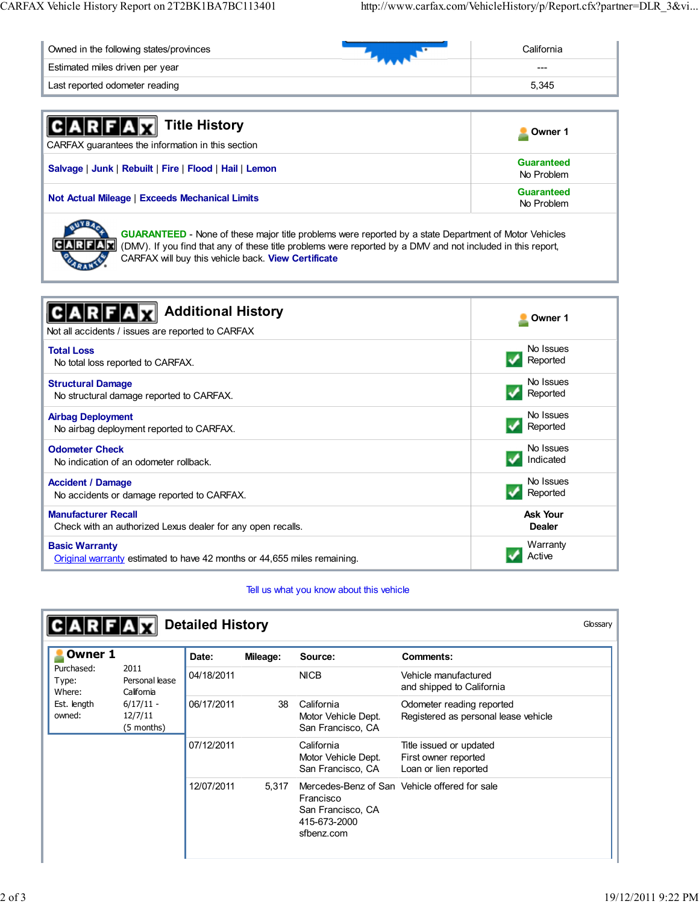| Owned in the following states/provinces | California |
|-----------------------------------------|------------|
| Estimated miles driven per year         | $- - -$    |
| Last reported odometer reading          | 5.345      |

| <b>CARFAX</b> Title History<br>CARFAX guarantees the information in this section | Owner 1                  |
|----------------------------------------------------------------------------------|--------------------------|
| Salvage   Junk   Rebuilt   Fire   Flood   Hail   Lemon                           | Guaranteed<br>No Problem |
| <b>Not Actual Mileage   Exceeds Mechanical Limits</b>                            | Guaranteed<br>No Problem |
|                                                                                  |                          |

GUARANTEED - None of these major title problems were reported by a state Department of Motor Vehicles (DMV). If you find that any of these title problems were reported by a DMV and not included in this report, CARFAX will buy this vehicle back. View Certificate

| <b>Additional History</b><br>Not all accidents / issues are reported to CARFAX | Owner 1         |
|--------------------------------------------------------------------------------|-----------------|
| <b>Total Loss</b>                                                              | No Issues       |
| No total loss reported to CARFAX.                                              | Reported        |
| <b>Structural Damage</b>                                                       | No Issues       |
| No structural damage reported to CARFAX.                                       | Reported        |
| <b>Airbag Deployment</b>                                                       | No Issues       |
| No airbag deployment reported to CARFAX.                                       | Reported        |
| <b>Odometer Check</b>                                                          | No Issues       |
| No indication of an odometer rollback.                                         | Indicated       |
| <b>Accident / Damage</b>                                                       | No Issues       |
| No accidents or damage reported to CARFAX.                                     | Reported        |
| <b>Manufacturer Recall</b>                                                     | <b>Ask Your</b> |
| Check with an authorized Lexus dealer for any open recalls.                    | <b>Dealer</b>   |
| <b>Basic Warranty</b>                                                          | Warranty        |
| Original warranty estimated to have 42 months or 44,655 miles remaining.       | Active          |

## Tell us what you know about this vehicle

| Owner 1                       |                                      | Date:      | Mileage: | Source:                                                      | <b>Comments:</b>                                                         |  |
|-------------------------------|--------------------------------------|------------|----------|--------------------------------------------------------------|--------------------------------------------------------------------------|--|
| Purchased:<br>Type:<br>Where: | 2011<br>Personal lease<br>California | 04/18/2011 |          | <b>NICB</b>                                                  | Vehicle manufactured<br>and shipped to California                        |  |
| Est. length<br>owned:         | $6/17/11 -$<br>12/7/11<br>(5 months) | 06/17/2011 | 38       | California<br>Motor Vehicle Dept.<br>San Francisco, CA       | Odometer reading reported<br>Registered as personal lease vehicle        |  |
|                               |                                      | 07/12/2011 |          | California<br>Motor Vehicle Dept.<br>San Francisco, CA       | Title issued or updated<br>First owner reported<br>Loan or lien reported |  |
|                               |                                      | 12/07/2011 | 5,317    | Francisco<br>San Francisco, CA<br>415-673-2000<br>sfbenz.com | Mercedes-Benz of San Vehicle offered for sale                            |  |